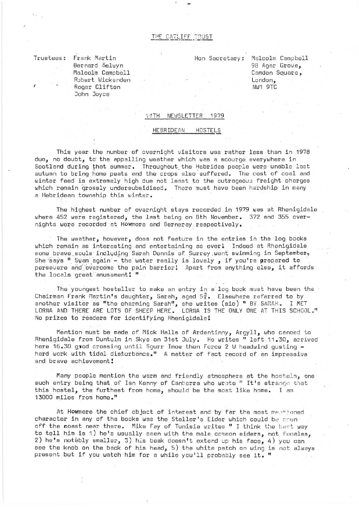## THE CATLIFF TRUST

Trustees:

r

*l* 

Frank Martin Bernard Selwyn Malcolm Campbell Robert Wickenden Roger Clifton John Joyce

Hon Secretary: Malcolm Campbell 98 Agar Grove, Camden Square, London, NW1 9TC

## 1#TH NEWSLETTER 1979

## HEBRIDEAN HOSTELS

This year the number of overnight visitors was rather less than in 1978 due, no doubt, *ta* the appalling weather which was a scourge everywhere in Scotland during that summer. Throughout the Hebrides people were unable last autumn to bring home peats and the crops also suffered. The cost of coal and winter feed is extremely high due not least to the outrageous freight charges which remain grossly undersubsidised. There must have been hardship in many a Hebridean township this winter.

The highest number of overnight stays recorded in 1979 was at Rhenigidale where 452 were registered, the last being on 8th November. 372 and 355 overnights were recorded at Howmore and Berneray respectively.

The weather, however, does not feature in the entries in the log books which remain as interesting and entertaining as everl Indeed at Rhenigidale some brave souls including Sarah Dennis of Surrey went swimming in September, She says " Swam again - the water really is lovely , if you're prepared to persevere and overcome the pain barrier! Apart from anything else, it affords the locals great amusement! "

The youngest hosteller to make an entry in a log book must have been the Chairman Frank Martin's daughter, Sarah, aged  $5\frac{3}{4}$ . Elsewhere referred to by another visitor as "the charming Sarah", she writes (sic) " BY SARAH. I MET LORNA AND THERE ARE LOTS OF SHEEP HERE. LORNA IS THE ONLY ONE AT THIS SCHOOL." No prizes to readers for identifying Rhenigidale!

Mention must be made of Mick Halls of Ardentinny, Argyll, who canoed to Rhenigidale from Duntulm in Skye on 31st July. He writes " left 11.30, arrived here  $16.30$  god crossing until Sgurr Imoe then Force 2 W headwind gusting  $$ hard work with tidal disturbance." A matter of fact record of an impressive and brave achievement!

Many people mention the warm and friendly atmosphere at the hostels, one such entry being that of Ian Kenny of Canberra who wrate " It's strange that this hostel, the furthest from home, should be the most like home. I am 13000 miles from home."

At Howmore the chief object of interest and by far the most mentioned character in any of the books was the Steller's Eider which could be counoff the coast near there. Mike Fay of Tunisia writes " I think the best way to tell him is 1) he's usually seen with the male common eiders, not females, 2) he's notably smaller, 3) his beak doesn't extend up his face, 4) you can see the knob on the back of his head,  $5)$  the white patch on wing is not always present but if you watch him for a while you'll probably see it. "